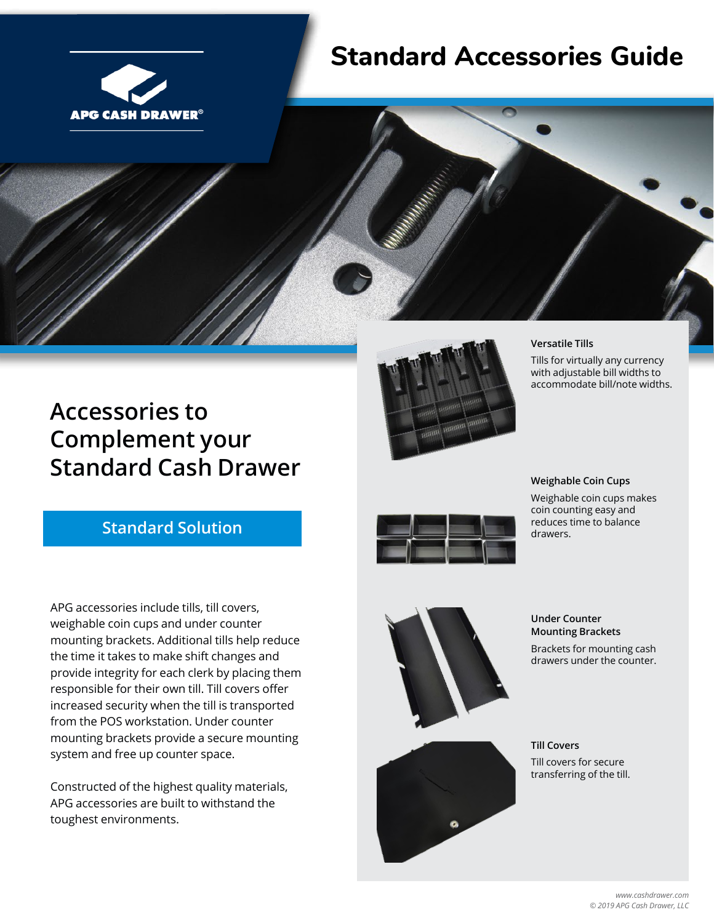

## **Standard Accessories Guide**



#### **Versatile Tills**

Tills for virtually any currency with adjustable bill widths to accommodate bill/note widths.

## **Accessories to Complement your Standard Cash Drawer**

### **Standard Solution**

APG accessories include tills, till covers, weighable coin cups and under counter mounting brackets. Additional tills help reduce the time it takes to make shift changes and provide integrity for each clerk by placing them responsible for their own till. Till covers offer increased security when the till is transported from the POS workstation. Under counter mounting brackets provide a secure mounting system and free up counter space.

Constructed of the highest quality materials, APG accessories are built to withstand the toughest environments.



#### **Weighable Coin Cups**

Weighable coin cups makes coin counting easy and reduces time to balance drawers.





**Under Counter Mounting Brackets** Brackets for mounting cash drawers under the counter.

**Till Covers** Till covers for secure transferring of the till.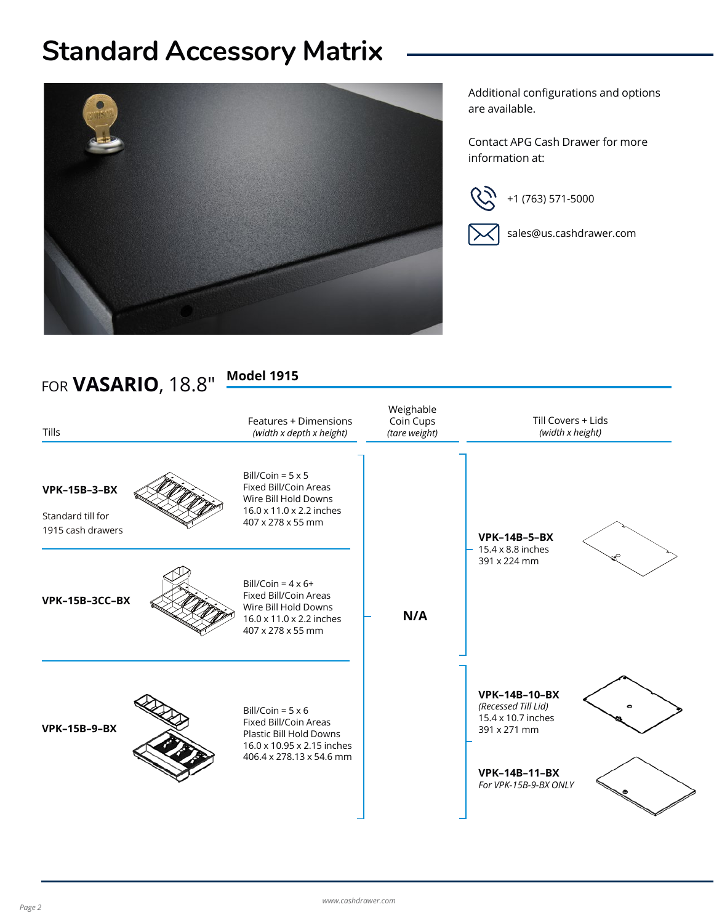# **Standard Accessory Matrix**



Additional configurations and options are available.

Contact APG Cash Drawer for more information at:





sales@us.cashdrawer.com

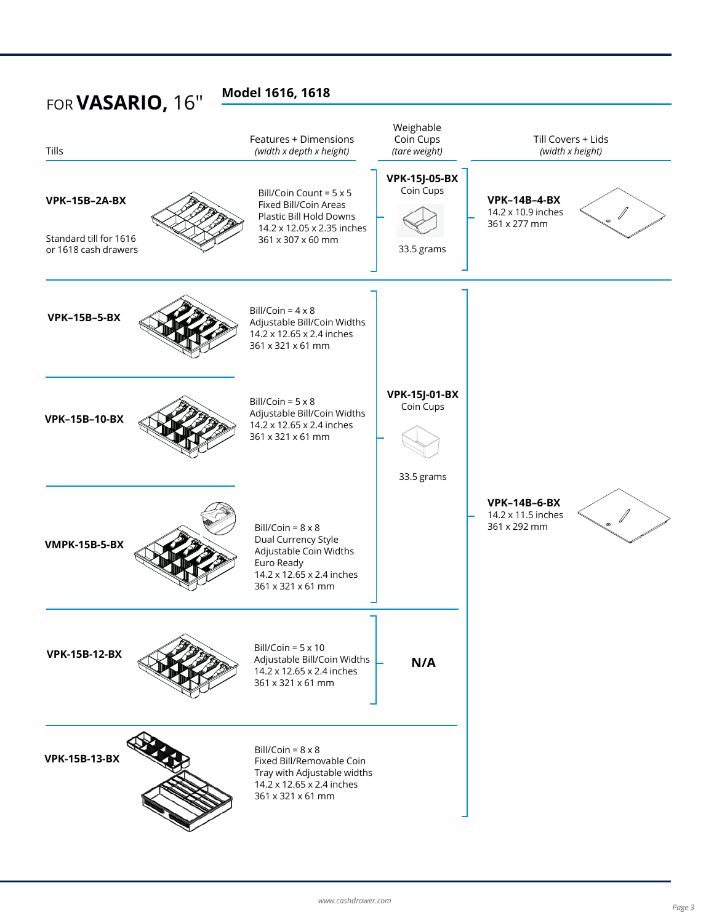| FOR VASARIO, 16"                                                       | Model 1616, 1618                                                                                                                          |                                                 |                                                                                 |
|------------------------------------------------------------------------|-------------------------------------------------------------------------------------------------------------------------------------------|-------------------------------------------------|---------------------------------------------------------------------------------|
| Tills                                                                  | Features + Dimensions<br>(width x depth x height)                                                                                         | Weighable<br>Coin Cups<br>(tare weight)         | Till Covers + Lids<br>(width x height)                                          |
| <b>VPK-15B-2A-BX</b><br>Standard till for 1616<br>or 1618 cash drawers | Bill/Coin Count = $5 \times 5$<br>Fixed Bill/Coin Areas<br>Plastic Bill Hold Downs<br>14.2 x 12.05 x 2.35 inches<br>361 x 307 x 60 mm     | <b>VPK-15J-05-BX</b><br>Coin Cups<br>33.5 grams | <b>VPK-14B-4-BX</b><br>14.2 x 10.9 inches<br>361 x 277 mm                       |
| <b>VPK-15B-5-BX</b>                                                    | Bill/Coin = $4 \times 8$<br>Adjustable Bill/Coin Widths<br>14.2 x 12.65 x 2.4 inches<br>361 x 321 x 61 mm                                 |                                                 |                                                                                 |
| <b>VPK-15B-10-BX</b>                                                   | Bill/Coin = $5 \times 8$<br>Adjustable Bill/Coin Widths<br>14.2 x 12.65 x 2.4 inches<br>361 x 321 x 61 mm                                 | <b>VPK-15J-01-BX</b><br>Coin Cups<br>33.5 grams |                                                                                 |
| <b>VMPK-15B-5-BX</b>                                                   | Bill/Coin = $8 \times 8$<br>Dual Currency Style<br>Adjustable Coin Widths<br>Euro Ready<br>14.2 x 12.65 x 2.4 inches<br>361 x 321 x 61 mm |                                                 | <b>VPK-14B-6-BX</b><br>14.2 x 11.5 inches<br>$\cdot$ $\sqrt{ }$<br>361 x 292 mm |
| <b>VPK-15B-12-BX</b>                                                   | Bill/Coin = $5 \times 10$<br>Adjustable Bill/Coin Widths<br>14.2 x 12.65 x 2.4 inches<br>361 x 321 x 61 mm                                | N/A                                             |                                                                                 |
| <b>VPK-15B-13-BX</b>                                                   | Bill/Coin = $8 \times 8$<br>Fixed Bill/Removable Coin<br>Tray with Adjustable widths<br>14.2 x 12.65 x 2.4 inches<br>361 x 321 x 61 mm    |                                                 |                                                                                 |